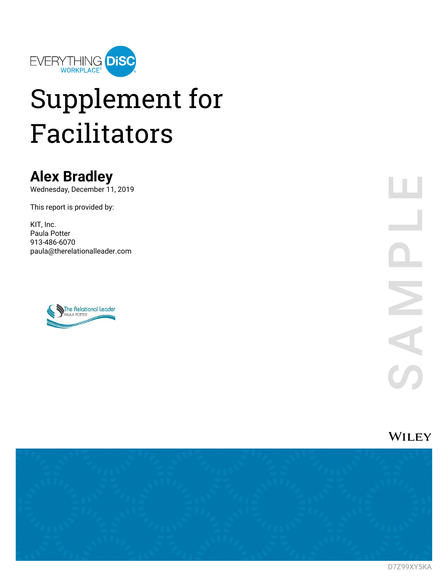

# Supplement for Facilitators

### **Alex Bradley**

Wednesday, December 11, 2019

This report is provided by:

KIT, Inc. Paula Potter 913-486-6070 paula@therelationalleader.com







D7Z99XY5KA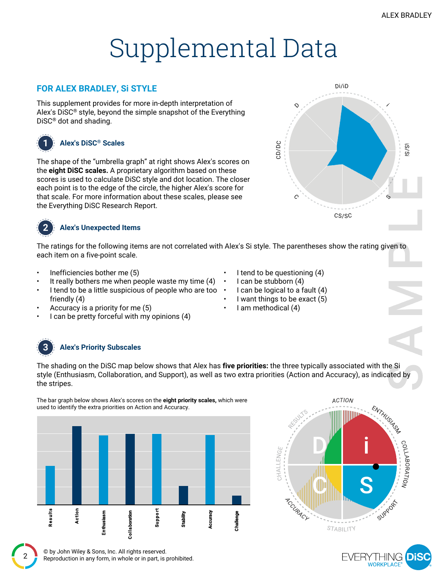i

S

 $\bar{o}$ /S $\overline{\phantom{a}}$  . The contract of  $\overline{\phantom{a}}$ 

## Supplemental Data

### **FOR ALEX BRADLEY, Si STYLE**

This supplement provides for more in-depth interpretation of Alex's DiSC® style, beyond the simple snapshot of the Everything DiSC® dot and shading.



### **1 Alex's DiSC® Scales**

The shape of the "umbrella graph" at right shows Alex's scores on the **eight DiSC scales.** A proprietary algorithm based on these scores is used to calculate DiSC style and dot location. The closer each point is to the edge of the circle, the higher Alex's score for that scale. For more information about these scales, please see the Everything DiSC Research Report.



### **2 Alex's Unexpected Items**

The ratings for the following items are not correlated with Alex's Si style. The parentheses show the rating given to each item on a five-point scale.

- Inefficiencies bother me (5)
- It really bothers me when people waste my time (4)
- I tend to be a little suspicious of people who are too friendly (4)
- Accuracy is a priority for me (5)
- I can be pretty forceful with my opinions (4)

### **3 Alex's Priority Subscales**

The shading on the DiSC map below shows that Alex has **five priorities:** the three typically associated with the Si style (Enthusiasm, Collaboration, and Support), as well as two extra priorities (Action and Accuracy), as indicated by the stripes.



The bar graph below shows Alex's scores on the **eight priority scales,** which were





I tend to be questioning (4) • I can be stubborn (4)

- I want things to be exact (5)
- I am methodical (4)
- 

CD/D<sup>C</sup>

 $\mathcal{C}$  and  $\mathcal{C}$  and  $\mathcal{C}$ 

 $\Omega$ 

Di/iD

CS/SC

- I can be logical to a fault (4)
- 
-